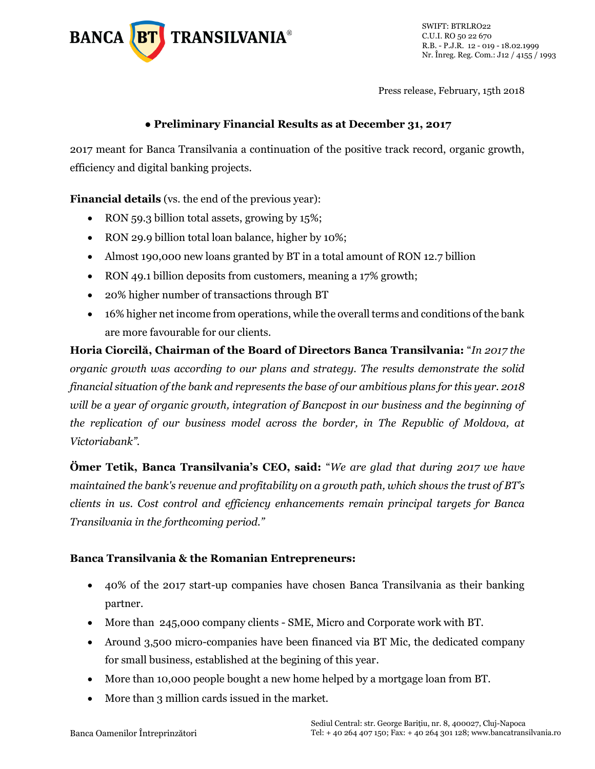

SWIFT: BTRLRO22 C.U.I. RO 50 22 670 R.B. - P.J.R. 12 - 019 - 18.02.1999 Nr. Înreg. Reg. Com.: J12 / 4155 / 1993

Press release, February, 15th 2018

#### **● Preliminary Financial Results as at December 31, 2017**

2017 meant for Banca Transilvania a continuation of the positive track record, organic growth, efficiency and digital banking projects.

**Financial details** (vs. the end of the previous year):

- RON 59.3 billion total assets, growing by 15%;
- RON 29.9 billion total loan balance, higher by 10%;
- Almost 190,000 new loans granted by BT in a total amount of RON 12.7 billion
- RON 49.1 billion deposits from customers, meaning a 17% growth;
- 20% higher number of transactions through BT
- 16% higher net income from operations, while the overall terms and conditions of the bank are more favourable for our clients.

**Horia Ciorcilă, Chairman of the Board of Directors Banca Transilvania:** "*In 2017 the organic growth was according to our plans and strategy. The results demonstrate the solid financial situation of the bank and represents the base of our ambitious plans for this year. 2018 will be a year of organic growth, integration of Bancpost in our business and the beginning of the replication of our business model across the border, in The Republic of Moldova, at Victoriabank".*

**Ömer Tetik, Banca Transilvania's CEO, said:** "*We are glad that during 2017 we have maintained the bank's revenue and profitability on a growth path, which shows the trust of BT's clients in us. Cost control and efficiency enhancements remain principal targets for Banca Transilvania in the forthcoming period."*

#### **Banca Transilvania & the Romanian Entrepreneurs:**

- 40% of the 2017 start-up companies have chosen Banca Transilvania as their banking partner.
- More than 245,000 company clients SME, Micro and Corporate work with BT.
- Around 3,500 micro-companies have been financed via BT Mic, the dedicated company for small business, established at the begining of this year.
- More than 10,000 people bought a new home helped by a mortgage loan from BT.
- More than 3 million cards issued in the market.